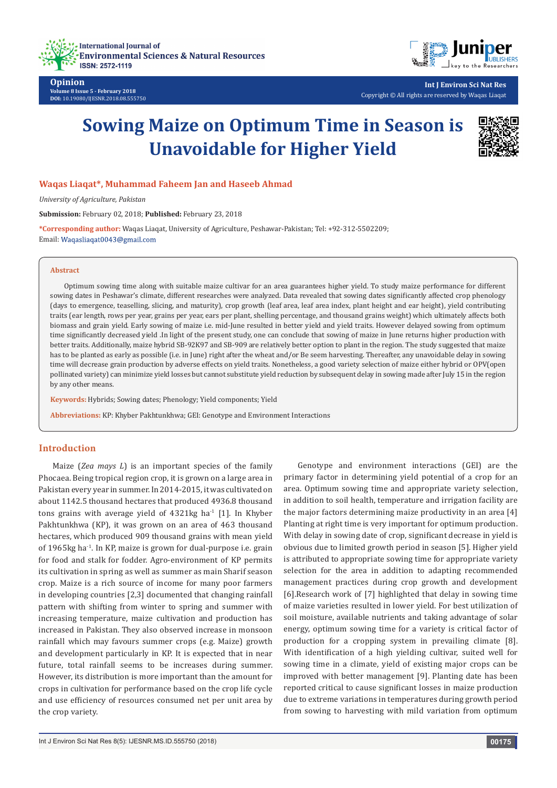



**Int J Environ Sci Nat Res** Copyright © All rights are reserved by Waqas Liaqat

# **Sowing Maize on Optimum Time in Season is Unavoidable for Higher Yield**



# **Waqas Liaqat\*, Muhammad Faheem Jan and Haseeb Ahmad**

*University of Agriculture, Pakistan*

**Submission:** February 02, 2018; **Published:** February 23, 2018

**\*Corresponding author:** Waqas Liaqat, University of Agriculture, Peshawar-Pakistan; Tel: +92-312-5502209; Email: Waqasliaqat0043@gmail.com

#### **Abstract**

Optimum sowing time along with suitable maize cultivar for an area guarantees higher yield. To study maize performance for different sowing dates in Peshawar's climate, different researches were analyzed. Data revealed that sowing dates significantly affected crop phenology (days to emergence, teaselling, slicing, and maturity), crop growth (leaf area, leaf area index, plant height and ear height), yield contributing traits (ear length, rows per year, grains per year, ears per plant, shelling percentage, and thousand grains weight) which ultimately affects both biomass and grain yield. Early sowing of maize i.e. mid-June resulted in better yield and yield traits. However delayed sowing from optimum time significantly decreased yield .In light of the present study, one can conclude that sowing of maize in June returns higher production with better traits. Additionally, maize hybrid SB-92K97 and SB-909 are relatively better option to plant in the region. The study suggested that maize has to be planted as early as possible (i.e. in June) right after the wheat and/or Be seem harvesting. Thereafter, any unavoidable delay in sowing time will decrease grain production by adverse effects on yield traits. Nonetheless, a good variety selection of maize either hybrid or OPV(open pollinated variety) can minimize yield losses but cannot substitute yield reduction by subsequent delay in sowing made after July 15 in the region by any other means.

**Keywords:** Hybrids; Sowing dates; Phenology; Yield components; Yield

**Abbreviations:** KP: Khyber Pakhtunkhwa; GEI: Genotype and Environment Interactions

# **Introduction**

Maize (*Zea mays L*) is an important species of the family Phocaea. Being tropical region crop, it is grown on a large area in Pakistan every year in summer. In 2014-2015, it was cultivated on about 1142.5 thousand hectares that produced 4936.8 thousand tons grains with average yield of  $4321$ kg ha<sup>-1</sup> [1]. In Khyber Pakhtunkhwa (KP), it was grown on an area of 463 thousand hectares, which produced 909 thousand grains with mean yield of 1965kg ha<sup>-1</sup>. In KP, maize is grown for dual-purpose i.e. grain for food and stalk for fodder. Agro-environment of KP permits its cultivation in spring as well as summer as main Sharif season crop. Maize is a rich source of income for many poor farmers in developing countries [2,3] documented that changing rainfall pattern with shifting from winter to spring and summer with increasing temperature, maize cultivation and production has increased in Pakistan. They also observed increase in monsoon rainfall which may favours summer crops (e.g. Maize) growth and development particularly in KP. It is expected that in near future, total rainfall seems to be increases during summer. However, its distribution is more important than the amount for crops in cultivation for performance based on the crop life cycle and use efficiency of resources consumed net per unit area by the crop variety.

Genotype and environment interactions (GEI) are the primary factor in determining yield potential of a crop for an area. Optimum sowing time and appropriate variety selection, in addition to soil health, temperature and irrigation facility are the major factors determining maize productivity in an area [4] Planting at right time is very important for optimum production. With delay in sowing date of crop, significant decrease in yield is obvious due to limited growth period in season [5]. Higher yield is attributed to appropriate sowing time for appropriate variety selection for the area in addition to adapting recommended management practices during crop growth and development [6].Research work of [7] highlighted that delay in sowing time of maize varieties resulted in lower yield. For best utilization of soil moisture, available nutrients and taking advantage of solar energy, optimum sowing time for a variety is critical factor of production for a cropping system in prevailing climate [8]. With identification of a high yielding cultivar, suited well for sowing time in a climate, yield of existing major crops can be improved with better management [9]. Planting date has been reported critical to cause significant losses in maize production due to extreme variations in temperatures during growth period from sowing to harvesting with mild variation from optimum